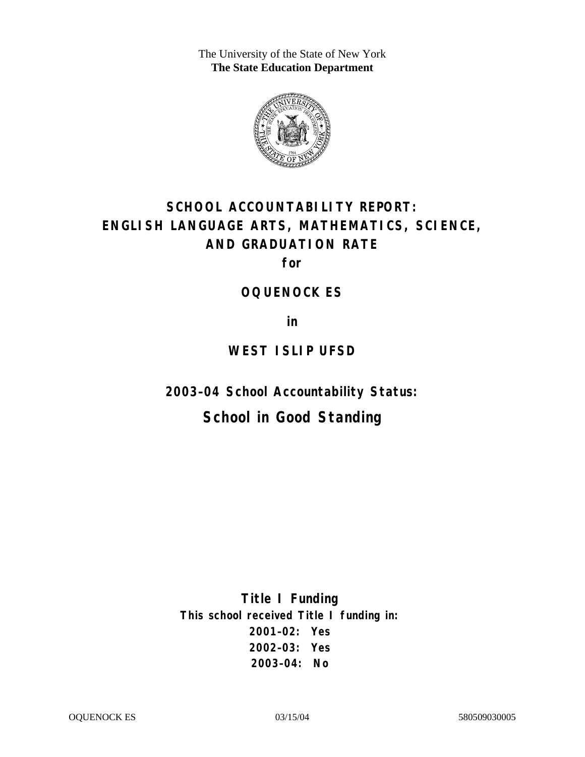The University of the State of New York **The State Education Department** 



# **SCHOOL ACCOUNTABILITY REPORT: ENGLISH LANGUAGE ARTS, MATHEMATICS, SCIENCE, AND GRADUATION RATE**

**for** 

#### **OQUENOCK ES**

**in** 

# **WEST ISLIP UFSD**

**2003–04 School Accountability Status:** 

# **School in Good Standing**

**Title I Funding This school received Title I funding in: 2001–02: Yes 2002–03: Yes 2003–04: No**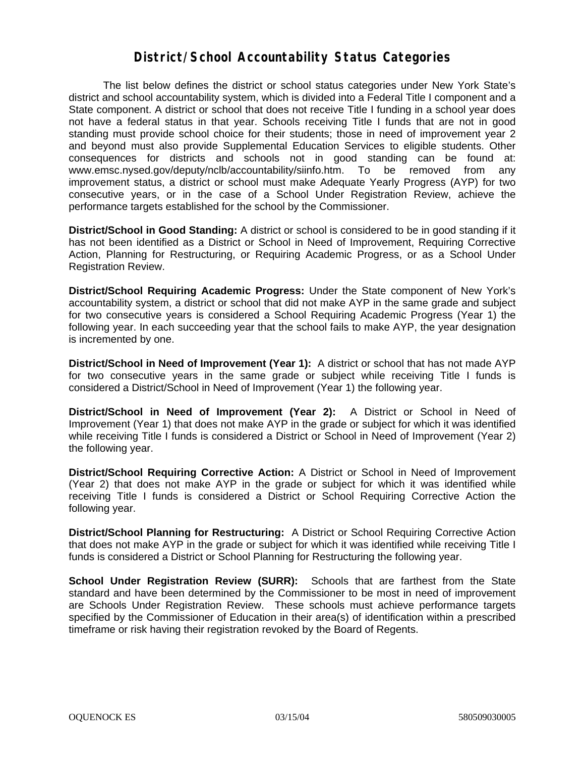#### **District/School Accountability Status Categories**

The list below defines the district or school status categories under New York State's district and school accountability system, which is divided into a Federal Title I component and a State component. A district or school that does not receive Title I funding in a school year does not have a federal status in that year. Schools receiving Title I funds that are not in good standing must provide school choice for their students; those in need of improvement year 2 and beyond must also provide Supplemental Education Services to eligible students. Other consequences for districts and schools not in good standing can be found at: www.emsc.nysed.gov/deputy/nclb/accountability/siinfo.htm. To be removed from any improvement status, a district or school must make Adequate Yearly Progress (AYP) for two consecutive years, or in the case of a School Under Registration Review, achieve the performance targets established for the school by the Commissioner.

**District/School in Good Standing:** A district or school is considered to be in good standing if it has not been identified as a District or School in Need of Improvement, Requiring Corrective Action, Planning for Restructuring, or Requiring Academic Progress, or as a School Under Registration Review.

**District/School Requiring Academic Progress:** Under the State component of New York's accountability system, a district or school that did not make AYP in the same grade and subject for two consecutive years is considered a School Requiring Academic Progress (Year 1) the following year. In each succeeding year that the school fails to make AYP, the year designation is incremented by one.

**District/School in Need of Improvement (Year 1):** A district or school that has not made AYP for two consecutive years in the same grade or subject while receiving Title I funds is considered a District/School in Need of Improvement (Year 1) the following year.

**District/School in Need of Improvement (Year 2):** A District or School in Need of Improvement (Year 1) that does not make AYP in the grade or subject for which it was identified while receiving Title I funds is considered a District or School in Need of Improvement (Year 2) the following year.

**District/School Requiring Corrective Action:** A District or School in Need of Improvement (Year 2) that does not make AYP in the grade or subject for which it was identified while receiving Title I funds is considered a District or School Requiring Corrective Action the following year.

**District/School Planning for Restructuring:** A District or School Requiring Corrective Action that does not make AYP in the grade or subject for which it was identified while receiving Title I funds is considered a District or School Planning for Restructuring the following year.

**School Under Registration Review (SURR):** Schools that are farthest from the State standard and have been determined by the Commissioner to be most in need of improvement are Schools Under Registration Review. These schools must achieve performance targets specified by the Commissioner of Education in their area(s) of identification within a prescribed timeframe or risk having their registration revoked by the Board of Regents.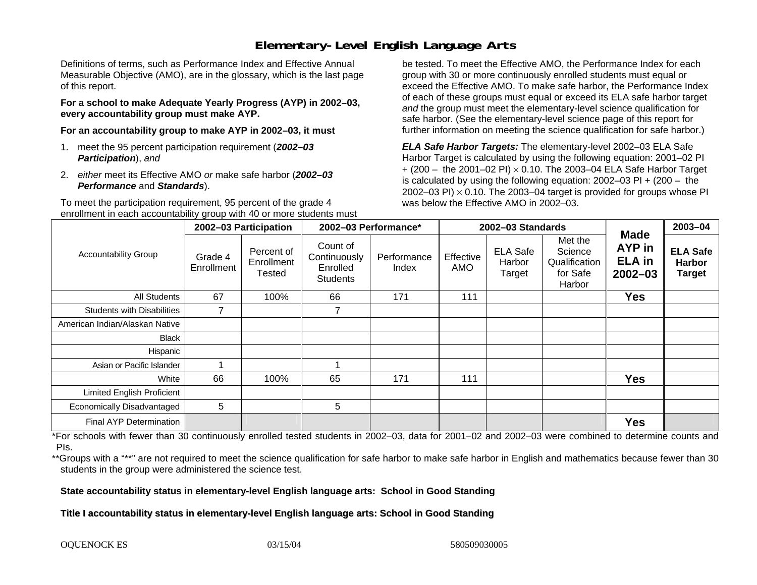# **Elementary-Level English Language Arts**

Definitions of terms, such as Performance Index and Effective Annual Measurable Objective (AMO), are in the glossary, which is the last page of this report.

**For a school to make Adequate Yearly Progress (AYP) in 2002–03, every accountability group must make AYP.** 

**For an accountability group to make AYP in 2002–03, it must** 

- 1. meet the 95 percent participation requirement (*2002–03 Participation*), *and*
- 2. *either* meet its Effective AMO *or* make safe harbor (*2002–03 Performance* and *Standards*).

To meet the participation requirement, 95 percent of the grade 4 enrollment in each accountability group with 40 or more students must

be tested. To meet the Effective AMO, the Performance Index for each group with 30 or more continuously enrolled students must equal or exceed the Effective AMO. To make safe harbor, the Performance Index of each of these groups must equal or exceed its ELA safe harbor target *and* the group must meet the elementary-level science qualification for safe harbor. (See the elementary-level science page of this report for further information on meeting the science qualification for safe harbor.)

*ELA Safe Harbor Targets:* The elementary-level 2002–03 ELA Safe Harbor Target is calculated by using the following equation: 2001–02 PI + (200 – the 2001–02 PI) <sup>×</sup> 0.10. The 2003–04 ELA Safe Harbor Target is calculated by using the following equation: 2002–03 PI + (200 – the 2002–03 PI)  $\times$  0.10. The 2003–04 target is provided for groups whose PI was below the Effective AMO in 2002–03.

| <b>Accountability Group</b>       | 2002-03 Participation |                                           | 2002-03 Performance*                                    |                      | 2002-03 Standards |                                     |                                                           |                                                              | 2003-04                                           |
|-----------------------------------|-----------------------|-------------------------------------------|---------------------------------------------------------|----------------------|-------------------|-------------------------------------|-----------------------------------------------------------|--------------------------------------------------------------|---------------------------------------------------|
|                                   | Grade 4<br>Enrollment | Percent of<br>Enrollment<br><b>Tested</b> | Count of<br>Continuously<br>Enrolled<br><b>Students</b> | Performance<br>Index | Effective<br>AMO  | <b>ELA Safe</b><br>Harbor<br>Target | Met the<br>Science<br>Qualification<br>for Safe<br>Harbor | <b>Made</b><br><b>AYP</b> in<br><b>ELA</b> in<br>$2002 - 03$ | <b>ELA Safe</b><br><b>Harbor</b><br><b>Target</b> |
| <b>All Students</b>               | 67                    | 100%                                      | 66                                                      | 171                  | 111               |                                     |                                                           | <b>Yes</b>                                                   |                                                   |
| <b>Students with Disabilities</b> | 7                     |                                           | $\overline{7}$                                          |                      |                   |                                     |                                                           |                                                              |                                                   |
| American Indian/Alaskan Native    |                       |                                           |                                                         |                      |                   |                                     |                                                           |                                                              |                                                   |
| Black                             |                       |                                           |                                                         |                      |                   |                                     |                                                           |                                                              |                                                   |
| Hispanic                          |                       |                                           |                                                         |                      |                   |                                     |                                                           |                                                              |                                                   |
| Asian or Pacific Islander         |                       |                                           |                                                         |                      |                   |                                     |                                                           |                                                              |                                                   |
| White                             | 66                    | 100%                                      | 65                                                      | 171                  | 111               |                                     |                                                           | <b>Yes</b>                                                   |                                                   |
| <b>Limited English Proficient</b> |                       |                                           |                                                         |                      |                   |                                     |                                                           |                                                              |                                                   |
| Economically Disadvantaged        | 5                     |                                           | 5                                                       |                      |                   |                                     |                                                           |                                                              |                                                   |
| Final AYP Determination           |                       |                                           |                                                         |                      |                   |                                     |                                                           | <b>Yes</b>                                                   |                                                   |

\*For schools with fewer than 30 continuously enrolled tested students in 2002–03, data for 2001–02 and 2002–03 were combined to determine counts and PIs.

\*\*Groups with a "\*\*" are not required to meet the science qualification for safe harbor to make safe harbor in English and mathematics because fewer than 30 students in the group were administered the science test.

**State accountability status in elementary-level English language arts: School in Good Standing** 

Title I accountability status in elementary-level English language arts: School in Good Standing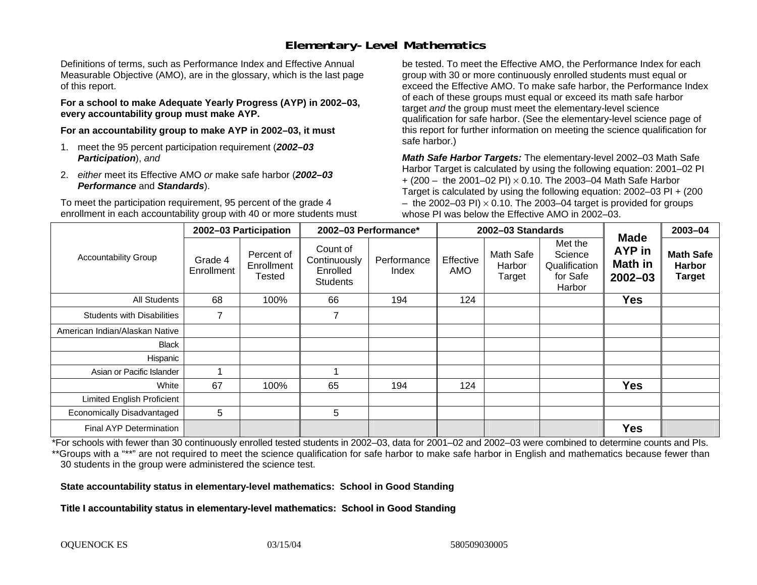# **Elementary-Level Mathematics**

Definitions of terms, such as Performance Index and Effective Annual Measurable Objective (AMO), are in the glossary, which is the last page of this report.

**For a school to make Adequate Yearly Progress (AYP) in 2002–03, every accountability group must make AYP.** 

**For an accountability group to make AYP in 2002–03, it must** 

- 1. meet the 95 percent participation requirement (*2002–03 Participation*), *and*
- 2. *either* meet its Effective AMO *or* make safe harbor (*2002–03 Performance* and *Standards*).

To meet the participation requirement, 95 percent of the grade 4 enrollment in each accountability group with 40 or more students must

be tested. To meet the Effective AMO, the Performance Index for each group with 30 or more continuously enrolled students must equal or exceed the Effective AMO. To make safe harbor, the Performance Index of each of these groups must equal or exceed its math safe harbor target *and* the group must meet the elementary-level science qualification for safe harbor. (See the elementary-level science page of this report for further information on meeting the science qualification for safe harbor.)

*Math Safe Harbor Targets:* The elementary-level 2002–03 Math Safe Harbor Target is calculated by using the following equation: 2001–02 PI + (200 – the 2001–02 PI) × 0.10. The 2003–04 Math Safe Harbor Target is calculated by using the following equation: 2002–03 PI + (200  $-$  the 2002–03 PI)  $\times$  0.10. The 2003–04 target is provided for groups whose PI was below the Effective AMO in 2002–03.

| <b>Accountability Group</b>       | 2002-03 Participation |                                    | 2002-03 Performance*                                    |                      | 2002-03 Standards |                               |                                                           |                                                               | 2003-04                                            |
|-----------------------------------|-----------------------|------------------------------------|---------------------------------------------------------|----------------------|-------------------|-------------------------------|-----------------------------------------------------------|---------------------------------------------------------------|----------------------------------------------------|
|                                   | Grade 4<br>Enrollment | Percent of<br>Enrollment<br>Tested | Count of<br>Continuously<br>Enrolled<br><b>Students</b> | Performance<br>Index | Effective<br>AMO  | Math Safe<br>Harbor<br>Target | Met the<br>Science<br>Qualification<br>for Safe<br>Harbor | <b>Made</b><br><b>AYP</b> in<br><b>Math in</b><br>$2002 - 03$ | <b>Math Safe</b><br><b>Harbor</b><br><b>Target</b> |
| All Students                      | 68                    | 100%                               | 66                                                      | 194                  | 124               |                               |                                                           | <b>Yes</b>                                                    |                                                    |
| <b>Students with Disabilities</b> | $\overline{z}$        |                                    | $\overline{z}$                                          |                      |                   |                               |                                                           |                                                               |                                                    |
| American Indian/Alaskan Native    |                       |                                    |                                                         |                      |                   |                               |                                                           |                                                               |                                                    |
| <b>Black</b>                      |                       |                                    |                                                         |                      |                   |                               |                                                           |                                                               |                                                    |
| Hispanic                          |                       |                                    |                                                         |                      |                   |                               |                                                           |                                                               |                                                    |
| Asian or Pacific Islander         |                       |                                    |                                                         |                      |                   |                               |                                                           |                                                               |                                                    |
| White                             | 67                    | 100%                               | 65                                                      | 194                  | 124               |                               |                                                           | <b>Yes</b>                                                    |                                                    |
| <b>Limited English Proficient</b> |                       |                                    |                                                         |                      |                   |                               |                                                           |                                                               |                                                    |
| Economically Disadvantaged        | 5                     |                                    | 5                                                       |                      |                   |                               |                                                           |                                                               |                                                    |
| <b>Final AYP Determination</b>    |                       |                                    |                                                         |                      |                   |                               |                                                           | <b>Yes</b>                                                    |                                                    |

\*For schools with fewer than 30 continuously enrolled tested students in 2002–03, data for 2001–02 and 2002–03 were combined to determine counts and PIs. \*\*Groups with a "\*\*" are not required to meet the science qualification for safe harbor to make safe harbor in English and mathematics because fewer than 30 students in the group were administered the science test.

**State accountability status in elementary-level mathematics: School in Good Standing** 

Title I accountability status in elementary-level mathematics: School in Good Standing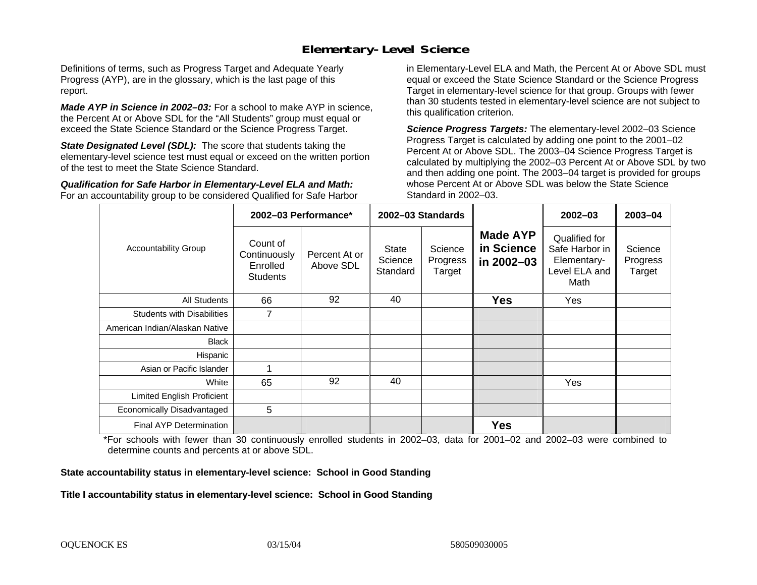### **Elementary-Level Science**

Definitions of terms, such as Progress Target and Adequate Yearly Progress (AYP), are in the glossary, which is the last page of this report.

*Made AYP in Science in 2002–03:* For a school to make AYP in science, the Percent At or Above SDL for the "All Students" group must equal or exceed the State Science Standard or the Science Progress Target.

**State Designated Level (SDL):** The score that students taking the elementary-level science test must equal or exceed on the written portion of the test to meet the State Science Standard.

*Qualification for Safe Harbor in Elementary-Level ELA and Math:* For an accountability group to be considered Qualified for Safe Harbor in Elementary-Level ELA and Math, the Percent At or Above SDL must equal or exceed the State Science Standard or the Science Progress Target in elementary-level science for that group. Groups with fewer than 30 students tested in elementary-level science are not subject to this qualification criterion.

*Science Progress Targets:* The elementary-level 2002–03 Science Progress Target is calculated by adding one point to the 2001–02 Percent At or Above SDL. The 2003–04 Science Progress Target is calculated by multiplying the 2002–03 Percent At or Above SDL by two and then adding one point. The 2003–04 target is provided for groups whose Percent At or Above SDL was below the State Science Standard in 2002–03.

|                                   |                                                         | 2002-03 Performance*       | 2002-03 Standards            |                               |                                             | $2002 - 03$                                                             | $2003 - 04$                   |
|-----------------------------------|---------------------------------------------------------|----------------------------|------------------------------|-------------------------------|---------------------------------------------|-------------------------------------------------------------------------|-------------------------------|
| <b>Accountability Group</b>       | Count of<br>Continuously<br>Enrolled<br><b>Students</b> | Percent At or<br>Above SDL | State<br>Science<br>Standard | Science<br>Progress<br>Target | <b>Made AYP</b><br>in Science<br>in 2002-03 | Qualified for<br>Safe Harbor in<br>Elementary-<br>Level ELA and<br>Math | Science<br>Progress<br>Target |
| <b>All Students</b>               | 66                                                      | 92                         | 40                           |                               | <b>Yes</b>                                  | Yes                                                                     |                               |
| <b>Students with Disabilities</b> | 7                                                       |                            |                              |                               |                                             |                                                                         |                               |
| American Indian/Alaskan Native    |                                                         |                            |                              |                               |                                             |                                                                         |                               |
| <b>Black</b>                      |                                                         |                            |                              |                               |                                             |                                                                         |                               |
| Hispanic                          |                                                         |                            |                              |                               |                                             |                                                                         |                               |
| Asian or Pacific Islander         |                                                         |                            |                              |                               |                                             |                                                                         |                               |
| White                             | 65                                                      | 92                         | 40                           |                               |                                             | <b>Yes</b>                                                              |                               |
| Limited English Proficient        |                                                         |                            |                              |                               |                                             |                                                                         |                               |
| Economically Disadvantaged        | 5                                                       |                            |                              |                               |                                             |                                                                         |                               |
| Final AYP Determination           |                                                         |                            |                              |                               | <b>Yes</b>                                  |                                                                         |                               |

\*For schools with fewer than 30 continuously enrolled students in 2002–03, data for 2001–02 and 2002–03 were combined to determine counts and percents at or above SDL.

#### **State accountability status in elementary-level science: School in Good Standing**

#### Title I accountability status in elementary-level science: School in Good Standing